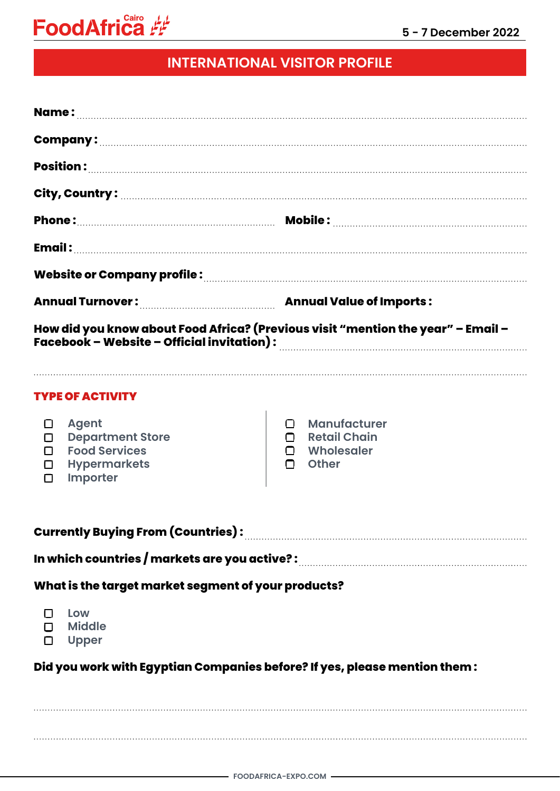

## **INTERNATIONAL VISITOR PROFILE**

| Website or Company profile : www.communication.com/www.com/www.com/www.com/www.com/                                            |                                                                                           |
|--------------------------------------------------------------------------------------------------------------------------------|-------------------------------------------------------------------------------------------|
|                                                                                                                                |                                                                                           |
| How did you know about Food Africa? (Previous visit "mention the year" – Email –<br>Facebook - Website - Official invitation): |                                                                                           |
| <b>TYPE OF ACTIVITY</b>                                                                                                        |                                                                                           |
| <b>Agent</b><br>□<br><b>Department Store</b><br><b>Food Services</b><br><b>Hypermarkets</b><br>П<br>Importer<br>□              | <b>Manufacturer</b><br><b>Retail Chain</b><br>Wholesaler<br>n -<br>$\Box$<br><b>Other</b> |
| Currently Buying From (Countries): [11] Martin Martin Martin Martin Martin Martin Martin Martin Martin Martin                  |                                                                                           |
| In which countries / markets are you active? : www.communication.com/www.com/                                                  |                                                                                           |
| What is the target market segment of your products?                                                                            |                                                                                           |
| Low<br>D Middle<br>D Upper                                                                                                     |                                                                                           |
| Did you work with Egyptian Companies before? If yes, please mention them :                                                     |                                                                                           |
|                                                                                                                                |                                                                                           |
|                                                                                                                                |                                                                                           |
|                                                                                                                                |                                                                                           |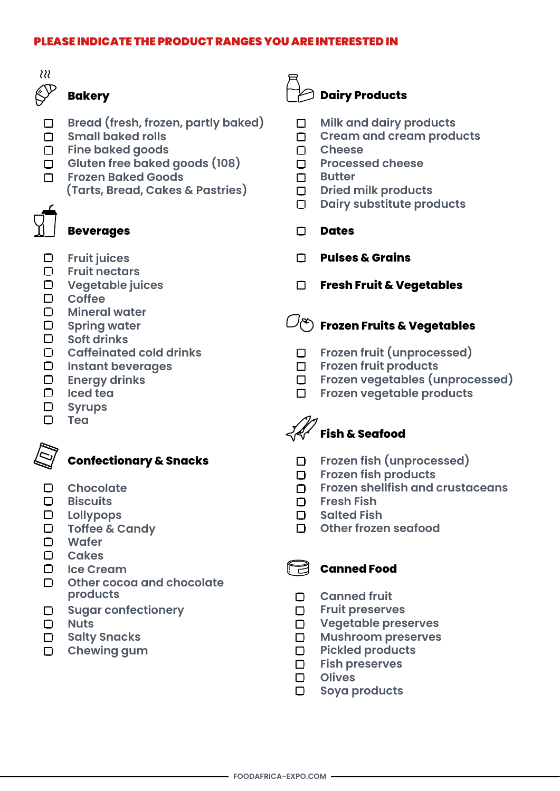#### PLEASE INDICATE THE PRODUCT RANGES YOU ARE INTERESTED IN



## **Bakery**

- **Bread (fresh, frozen, partly baked)**   $\Box$
- **Small baked rolls**
- **Fine baked goods**
- **Gluten free baked goods (108)**
- **Frozen Baked Goods**
	- **(Tarts, Bread, Cakes & Pastries)**



### **Beverages**

- **Fruit juices**
- **Fruit nectars**
- **Vegetable juices**
- **Coffee**
- **Mineral water**
- **Spring water**
- **Soft drinks**
- **Caffeinated cold drinks**
- **Instant beverages**
- **Energy drinks**
- **Iced tea**
- $\Box$ **Syrups**
- **Tea**



## **Confectionary & Snacks**

- $\Box$ **Chocolate**
- $\Box$ **Biscuits**
- **Lollypops**
- **Toffee & Candy**
- **Wafer**
- $\Box$ **Cakes**
- 0 **Ice Cream**
- D. **Other cocoa and chocolate products**
- $\Box$ **Sugar confectionery**
- **Nuts**  $\Box$
- **Salty Snacks**  $\Box$
- **Chewing gum**  $\Box$

## **Dairy Products**

- $\Box$ **Milk and dairy products**
- **Cream and cream products**  $\Box$
- **Cheese**
- **Processed cheese**
- **Butter**  П.
- **Dried milk products**   $\Box$
- $\Box$ **Dairy substitute products**
- **Dates**  $\Box$
- **Pulses & Grains**
- **Fresh Fruit & Vegetables**

# $\mathbb{C}^\infty$  Frozen Fruits & Vegetables

- $\Box$ **Frozen fruit (unprocessed)**
- **Frozen fruit products**
- **Frozen vegetables (unprocessed)**
- $\Box$ **Frozen vegetable products**



- **Frozen fish (unprocessed)**   $\Box$
- **Frozen fish products**   $\Box$
- **Frozen shellfish and crustaceans**
- **Fresh Fish**
- **Salted Fish**
- **Other frozen seafood**

### **Canned Food**

- **Canned fruit**
- $\Box$ **Fruit preserves**
- **Vegetable preserves**
- **Mushroom preserves**   $\Box$
- **Pickled products**   $\Box$
- **Fish preserves**
- **Olives**   $\Box$
- $\Box$ **Soya products**